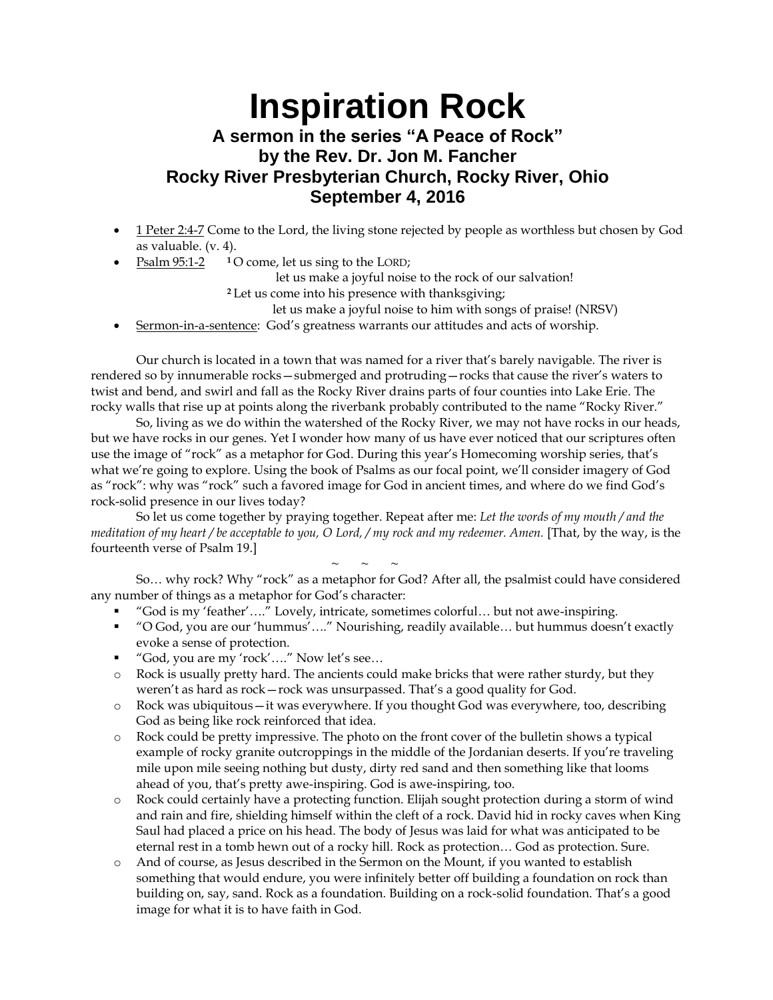## **Inspiration Rock A sermon in the series "A Peace of Rock" by the Rev. Dr. Jon M. Fancher**

## **Rocky River Presbyterian Church, Rocky River, Ohio September 4, 2016**

- 1 Peter 2:4-7 Come to the Lord, the living stone rejected by people as worthless but chosen by God as valuable. (v. 4).
- Psalm 95:1-2 **<sup>1</sup>** O come, let us sing to the LORD;

let us make a joyful noise to the rock of our salvation!

**<sup>2</sup>** Let us come into his presence with thanksgiving;

let us make a joyful noise to him with songs of praise! (NRSV)

Sermon-in-a-sentence: God's greatness warrants our attitudes and acts of worship.

Our church is located in a town that was named for a river that's barely navigable. The river is rendered so by innumerable rocks—submerged and protruding—rocks that cause the river's waters to twist and bend, and swirl and fall as the Rocky River drains parts of four counties into Lake Erie. The rocky walls that rise up at points along the riverbank probably contributed to the name "Rocky River."

So, living as we do within the watershed of the Rocky River, we may not have rocks in our heads, but we have rocks in our genes. Yet I wonder how many of us have ever noticed that our scriptures often use the image of "rock" as a metaphor for God. During this year's Homecoming worship series, that's what we're going to explore. Using the book of Psalms as our focal point, we'll consider imagery of God as "rock": why was "rock" such a favored image for God in ancient times, and where do we find God's rock-solid presence in our lives today?

So let us come together by praying together. Repeat after me: *Let the words of my mouth / and the meditation of my heart / be acceptable to you, O Lord, / my rock and my redeemer. Amen.* [That, by the way, is the fourteenth verse of Psalm 19.]

 $\sim$   $\sim$   $\sim$ So… why rock? Why "rock" as a metaphor for God? After all, the psalmist could have considered any number of things as a metaphor for God's character:

- "God is my 'feather'…." Lovely, intricate, sometimes colorful… but not awe-inspiring.
- "O God, you are our 'hummus'…." Nourishing, readily available… but hummus doesn't exactly evoke a sense of protection.
- "God, you are my 'rock'…." Now let's see...
- o Rock is usually pretty hard. The ancients could make bricks that were rather sturdy, but they weren't as hard as rock—rock was unsurpassed. That's a good quality for God.
- o Rock was ubiquitous—it was everywhere. If you thought God was everywhere, too, describing God as being like rock reinforced that idea.
- o Rock could be pretty impressive. The photo on the front cover of the bulletin shows a typical example of rocky granite outcroppings in the middle of the Jordanian deserts. If you're traveling mile upon mile seeing nothing but dusty, dirty red sand and then something like that looms ahead of you, that's pretty awe-inspiring. God is awe-inspiring, too.
- o Rock could certainly have a protecting function. Elijah sought protection during a storm of wind and rain and fire, shielding himself within the cleft of a rock. David hid in rocky caves when King Saul had placed a price on his head. The body of Jesus was laid for what was anticipated to be eternal rest in a tomb hewn out of a rocky hill. Rock as protection… God as protection. Sure.
- And of course, as Jesus described in the Sermon on the Mount, if you wanted to establish something that would endure, you were infinitely better off building a foundation on rock than building on, say, sand. Rock as a foundation. Building on a rock-solid foundation. That's a good image for what it is to have faith in God.